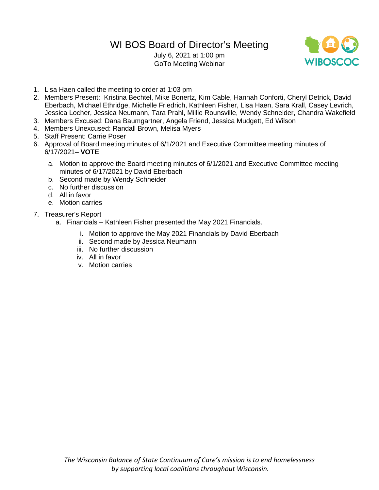# WI BOS Board of Director's Meeting

July 6, 2021 at 1:00 pm GoTo Meeting Webinar



- 1. Lisa Haen called the meeting to order at 1:03 pm
- 2. Members Present: Kristina Bechtel, Mike Bonertz, Kim Cable, Hannah Conforti, Cheryl Detrick, David Eberbach, Michael Ethridge, Michelle Friedrich, Kathleen Fisher, Lisa Haen, Sara Krall, Casey Levrich, Jessica Locher, Jessica Neumann, Tara Prahl, Millie Rounsville, Wendy Schneider, Chandra Wakefield
- 3. Members Excused: Dana Baumgartner, Angela Friend, Jessica Mudgett, Ed Wilson
- 4. Members Unexcused: Randall Brown, Melisa Myers
- 5. Staff Present: Carrie Poser
- 6. Approval of Board meeting minutes of 6/1/2021 and Executive Committee meeting minutes of 6/17/2021– **VOTE**
	- a. Motion to approve the Board meeting minutes of 6/1/2021 and Executive Committee meeting minutes of 6/17/2021 by David Eberbach
	- b. Second made by Wendy Schneider
	- c. No further discussion
	- d. All in favor
	- e. Motion carries
- 7. Treasurer's Report
	- a. Financials Kathleen Fisher presented the May 2021 Financials.
		- i. Motion to approve the May 2021 Financials by David Eberbach
		- ii. Second made by Jessica Neumann
		- iii. No further discussion
		- iv. All in favor
		- v. Motion carries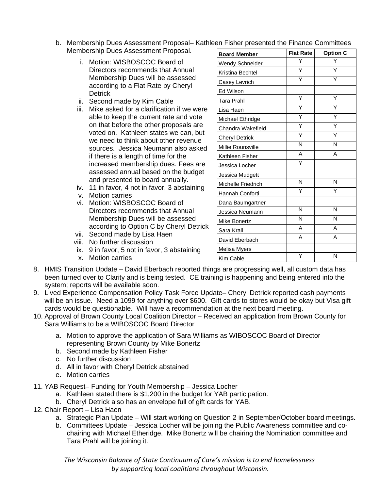- b. Membership Dues Assessment Proposal– Kathleen Fisher presented the Finance Committees<br>Membership Dues Assessment Proposal Membership Dues Assessment Proposal.
	- i. Motion: WISBOSCOC Board of Directors recommends that Annual Membership Dues will be assessed according to a Flat Rate by Cheryl **Detrick**
	- ii. Second made by Kim Cable
	- iii. Mike asked for a clarification if we were able to keep the current rate and vote on that before the other proposals are voted on. Kathleen states we can, but we need to think about other revenue sources. Jessica Neumann also asked if there is a length of time for the increased membership dues. Fees are assessed annual based on the budget and presented to board annually.
	- iv. 11 in favor, 4 not in favor, 3 abstaining
	- v. Motion carries
	- vi. Motion: WISBOSCOC Board of Directors recommends that Annual Membership Dues will be assessed according to Option C by Cheryl Detrick
	- vii. Second made by Lisa Haen
	- viii. No further discussion
	- ix. 9 in favor, 5 not in favor, 3 abstaining
	- x. Motion carries

| <b>Board Member</b>   | <b>Flat Rate</b> | <b>Option C</b> |
|-----------------------|------------------|-----------------|
| Wendy Schneider       | Y                |                 |
| Kristina Bechtel      | Ý                | Y               |
| Casey Levrich         | Y                | Y               |
| Ed Wilson             |                  |                 |
| Tara Prahl            | Υ                | Υ               |
| Lisa Haen             | Υ                | Υ               |
| Michael Ethridge      | Y                | Y               |
| Chandra Wakefield     | Ÿ                | Y               |
| <b>Cheryl Detrick</b> | Υ                | Υ               |
| Millie Rounsville     | N                | N               |
| Kathleen Fisher       | A                | A               |
| Jessica Locher        | Υ                |                 |
| Jessica Mudgett       |                  |                 |
| Michelle Friedrich    | N                | N               |
| Hannah Conforti       | Υ                | Υ               |
| Dana Baumgartner      |                  |                 |
| Jessica Neumann       | N                | N               |
| Mike Bonertz          | N                | N               |
| Sara Krall            | A                | A               |
| David Eberbach        | A                | A               |
| Melisa Myers          |                  |                 |
| Kim Cable             | Y                | N               |

- 8. HMIS Transition Update David Eberbach reported things are progressing well, all custom data has been turned over to Clarity and is being tested. CE training is happening and being entered into the system; reports will be available soon.
- 9. Lived Experience Compensation Policy Task Force Update– Cheryl Detrick reported cash payments will be an issue. Need a 1099 for anything over \$600. Gift cards to stores would be okay but Visa gift cards would be questionable. Will have a recommendation at the next board meeting.
- 10. Approval of Brown County Local Coalition Director Received an application from Brown County for Sara Williams to be a WIBOSCOC Board Director
	- a. Motion to approve the application of Sara Williams as WIBOSCOC Board of Director representing Brown County by Mike Bonertz
	- b. Second made by Kathleen Fisher
	- c. No further discussion
	- d. All in favor with Cheryl Detrick abstained
	- e. Motion carries
- 11. YAB Request– Funding for Youth Membership Jessica Locher
	- a. Kathleen stated there is \$1,200 in the budget for YAB participation.
	- b. Cheryl Detrick also has an envelope full of gift cards for YAB.
- 12. Chair Report Lisa Haen
	- a. Strategic Plan Update Will start working on Question 2 in September/October board meetings.
	- b. Committees Update Jessica Locher will be joining the Public Awareness committee and cochairing with Michael Etheridge. Mike Bonertz will be chairing the Nomination committee and Tara Prahl will be joining it.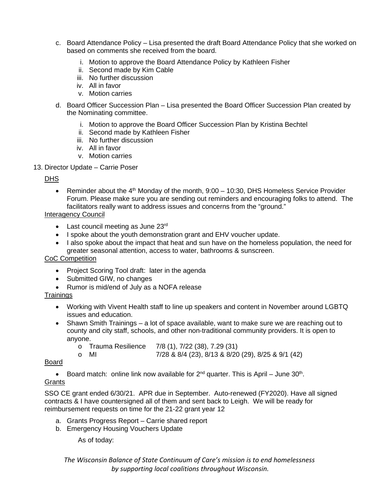- c. Board Attendance Policy Lisa presented the draft Board Attendance Policy that she worked on based on comments she received from the board.
	- i. Motion to approve the Board Attendance Policy by Kathleen Fisher
	- ii. Second made by Kim Cable
	- iii. No further discussion
	- iv. All in favor
	- v. Motion carries
- d. Board Officer Succession Plan Lisa presented the Board Officer Succession Plan created by the Nominating committee.
	- i. Motion to approve the Board Officer Succession Plan by Kristina Bechtel
	- ii. Second made by Kathleen Fisher
	- iii. No further discussion
	- iv. All in favor
	- v. Motion carries
- 13. Director Update Carrie Poser

#### DHS

• Reminder about the 4<sup>th</sup> Monday of the month, 9:00 – 10:30, DHS Homeless Service Provider Forum. Please make sure you are sending out reminders and encouraging folks to attend. The facilitators really want to address issues and concerns from the "ground."

#### Interagency Council

- Last council meeting as June 23rd
- I spoke about the youth demonstration grant and EHV voucher update.
- I also spoke about the impact that heat and sun have on the homeless population, the need for greater seasonal attention, access to water, bathrooms & sunscreen.

## CoC Competition

- Project Scoring Tool draft: later in the agenda
- Submitted GIW, no changes
- Rumor is mid/end of July as a NOFA release

## **Trainings**

- Working with Vivent Health staff to line up speakers and content in November around LGBTQ issues and education.
- Shawn Smith Trainings a lot of space available, want to make sure we are reaching out to county and city staff, schools, and other non-traditional community providers. It is open to anyone.
	- o Trauma Resilience  $7/8$  (1),  $7/22$  (38),  $7.29$  (31)<br>o MI  $7/28 & 8/4$  (23),  $8/13 & 8/20$
	- o MI 7/28 & 8/4 (23), 8/13 & 8/20 (29), 8/25 & 9/1 (42)

## Board

• Board match: online link now available for  $2^{nd}$  quarter. This is April – June  $30^{th}$ . Grants

SSO CE grant ended 6/30/21. APR due in September. Auto-renewed (FY2020). Have all signed contracts & I have countersigned all of them and sent back to Leigh. We will be ready for reimbursement requests on time for the 21-22 grant year 12

- a. Grants Progress Report Carrie shared report
- b. Emergency Housing Vouchers Update

As of today: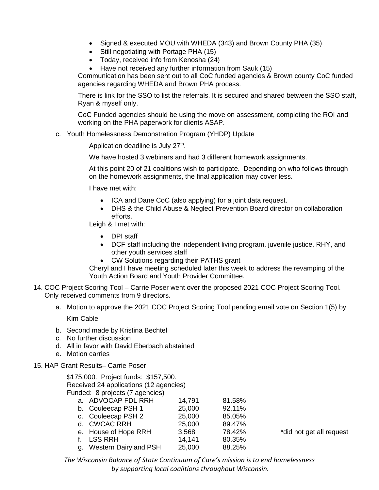- Signed & executed MOU with WHEDA (343) and Brown County PHA (35)
- Still negotiating with Portage PHA (15)
- Today, received info from Kenosha (24)
- Have not received any further information from Sauk (15)

Communication has been sent out to all CoC funded agencies & Brown county CoC funded agencies regarding WHEDA and Brown PHA process.

There is link for the SSO to list the referrals. It is secured and shared between the SSO staff, Ryan & myself only.

CoC Funded agencies should be using the move on assessment, completing the ROI and working on the PHA paperwork for clients ASAP.

c. Youth Homelessness Demonstration Program (YHDP) Update

Application deadline is July 27<sup>th</sup>.

We have hosted 3 webinars and had 3 different homework assignments.

At this point 20 of 21 coalitions wish to participate. Depending on who follows through on the homework assignments, the final application may cover less.

I have met with:

- ICA and Dane CoC (also applying) for a joint data request.
- DHS & the Child Abuse & Neglect Prevention Board director on collaboration efforts.

Leigh & I met with:

- DPI staff
- DCF staff including the independent living program, juvenile justice, RHY, and other youth services staff
- CW Solutions regarding their PATHS grant

Cheryl and I have meeting scheduled later this week to address the revamping of the Youth Action Board and Youth Provider Committee.

- 14. COC Project Scoring Tool Carrie Poser went over the proposed 2021 COC Project Scoring Tool. Only received comments from 9 directors.
	- a. Motion to approve the 2021 COC Project Scoring Tool pending email vote on Section 1(5) by

Kim Cable

- b. Second made by Kristina Bechtel
- c. No further discussion
- d. All in favor with David Eberbach abstained
- e. Motion carries
- 15. HAP Grant Results– Carrie Poser

\$175,000. Project funds: \$157,500. Received 24 applications (12 agencies) Funded: 8 projects (7 agencies)

| a. ADVOCAP FDL RRH       | 14,791 | 81.58% |     |
|--------------------------|--------|--------|-----|
| b. Couleecap PSH 1       | 25,000 | 92.11% |     |
| c. Couleecap PSH 2       | 25,000 | 85.05% |     |
| d. CWCAC RRH             | 25,000 | 89.47% |     |
| e. House of Hope RRH     | 3,568  | 78.42% | *di |
| f. LSS RRH               | 14.141 | 80.35% |     |
| g. Western Dairyland PSH | 25,000 | 88.25% |     |
|                          |        |        |     |

d not get all request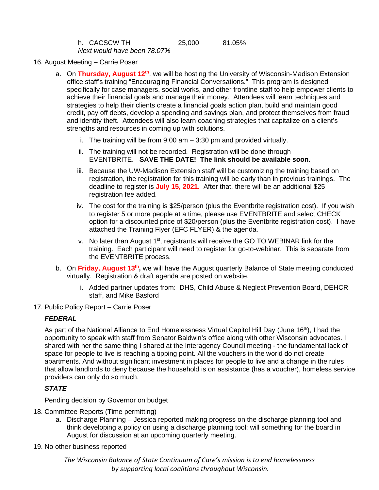| h. CACSCW TH                | 25,000 | 81.05% |
|-----------------------------|--------|--------|
| Next would have been 78.07% |        |        |

- 16. August Meeting Carrie Poser
	- a. On Thursday, August 12<sup>th</sup>, we will be hosting the University of Wisconsin-Madison Extension office staff's training "Encouraging Financial Conversations." This program is designed specifically for case managers, social works, and other frontline staff to help empower clients to achieve their financial goals and manage their money. Attendees will learn techniques and strategies to help their clients create a financial goals action plan, build and maintain good credit, pay off debts, develop a spending and savings plan, and protect themselves from fraud and identity theft. Attendees will also learn coaching strategies that capitalize on a client's strengths and resources in coming up with solutions.
		- i. The training will be from 9:00 am 3:30 pm and provided virtually.
		- ii. The training will not be recorded. Registration will be done through EVENTBRITE. **SAVE THE DATE! The link should be available soon.**
		- iii. Because the UW-Madison Extension staff will be customizing the training based on registration, the registration for this training will be early than in previous trainings. The deadline to register is **July 15, 2021.** After that, there will be an additional \$25 registration fee added.
		- iv. The cost for the training is \$25/person (plus the Eventbrite registration cost). If you wish to register 5 or more people at a time, please use EVENTBRITE and select CHECK option for a discounted price of \$20/person (plus the Eventbrite registration cost). I have attached the Training Flyer (EFC FLYER) & the agenda.
		- v. No later than August 1<sup>st</sup>, registrants will receive the GO TO WEBINAR link for the training. Each participant will need to register for go-to-webinar. This is separate from the EVENTBRITE process.
	- b. On **Friday, August 13th,** we will have the August quarterly Balance of State meeting conducted virtually. Registration & draft agenda are posted on website.
		- i. Added partner updates from: DHS, Child Abuse & Neglect Prevention Board, DEHCR staff, and Mike Basford
- 17. Public Policy Report Carrie Poser

## *FEDERAL*

As part of the National Alliance to End Homelessness Virtual Capitol Hill Day (June 16th), I had the opportunity to speak with staff from Senator Baldwin's office along with other Wisconsin advocates. I shared with her the same thing I shared at the Interagency Council meeting - the fundamental lack of space for people to live is reaching a tipping point. All the vouchers in the world do not create apartments. And without significant investment in places for people to live and a change in the rules that allow landlords to deny because the household is on assistance (has a voucher), homeless service providers can only do so much.

## *STATE*

Pending decision by Governor on budget

- 18. Committee Reports (Time permitting)
	- a. Discharge Planning Jessica reported making progress on the discharge planning tool and think developing a policy on using a discharge planning tool; will something for the board in August for discussion at an upcoming quarterly meeting.
- 19. No other business reported